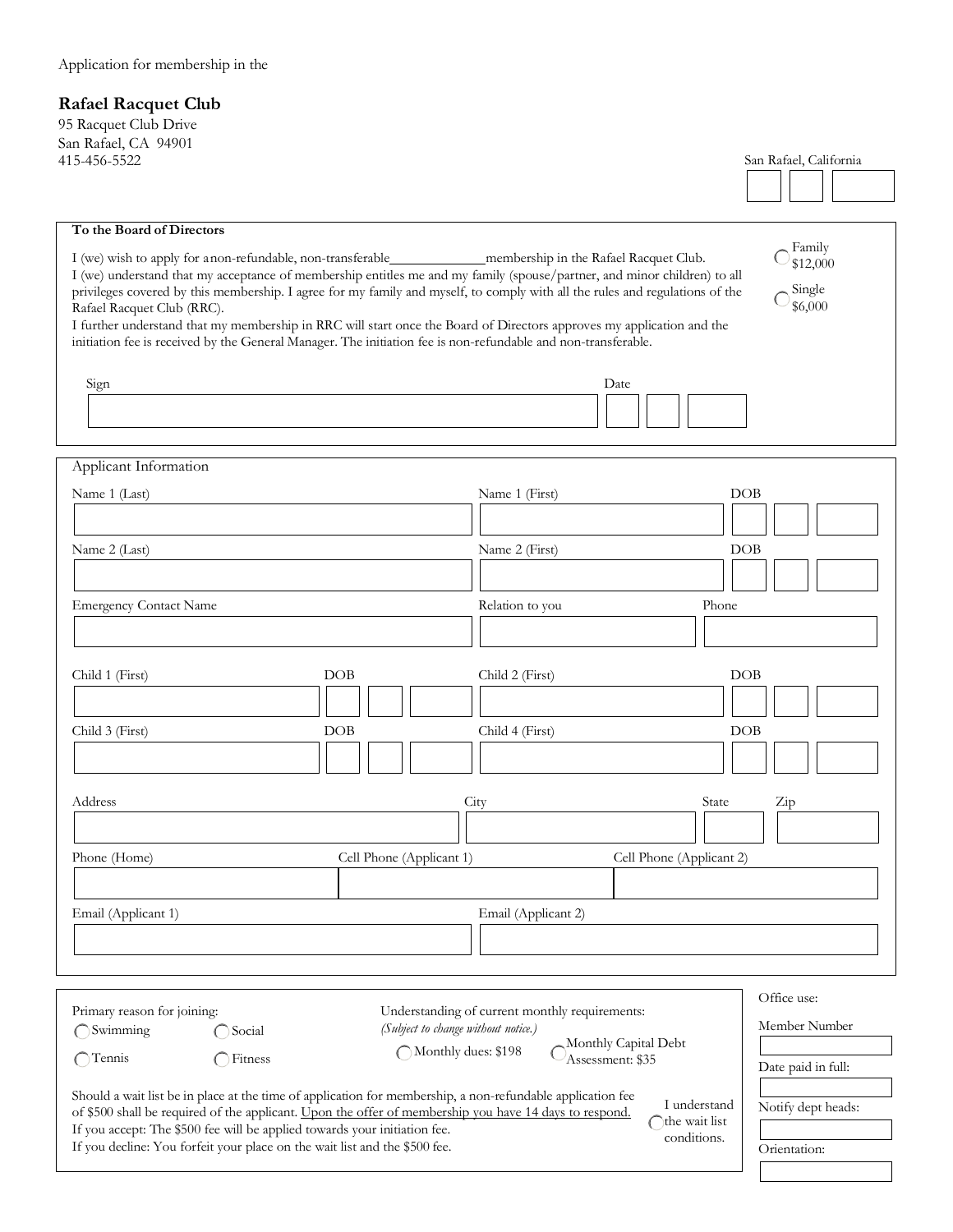## **Rafael Racquet Club**

95 Racquet Club Drive San Rafael, CA 94901

| To the Board of Directors<br>Rafael Racquet Club (RRC).<br>Sign                                                                                                                                                                                            | I (we) understand that my acceptance of membership entitles me and my family (spouse/partner, and minor children) to all<br>privileges covered by this membership. I agree for my family and myself, to comply with all the rules and regulations of the<br>I further understand that my membership in RRC will start once the Board of Directors approves my application and the<br>initiation fee is received by the General Manager. The initiation fee is non-refundable and non-transferable. |                 | Date                     | Family<br>\$12,000<br>Single<br>\$6,000 |  |
|------------------------------------------------------------------------------------------------------------------------------------------------------------------------------------------------------------------------------------------------------------|----------------------------------------------------------------------------------------------------------------------------------------------------------------------------------------------------------------------------------------------------------------------------------------------------------------------------------------------------------------------------------------------------------------------------------------------------------------------------------------------------|-----------------|--------------------------|-----------------------------------------|--|
|                                                                                                                                                                                                                                                            |                                                                                                                                                                                                                                                                                                                                                                                                                                                                                                    |                 |                          |                                         |  |
|                                                                                                                                                                                                                                                            |                                                                                                                                                                                                                                                                                                                                                                                                                                                                                                    |                 |                          |                                         |  |
| Applicant Information                                                                                                                                                                                                                                      |                                                                                                                                                                                                                                                                                                                                                                                                                                                                                                    |                 |                          |                                         |  |
| Name 1 (Last)                                                                                                                                                                                                                                              |                                                                                                                                                                                                                                                                                                                                                                                                                                                                                                    | Name 1 (First)  | <b>DOB</b>               |                                         |  |
|                                                                                                                                                                                                                                                            |                                                                                                                                                                                                                                                                                                                                                                                                                                                                                                    |                 |                          |                                         |  |
|                                                                                                                                                                                                                                                            |                                                                                                                                                                                                                                                                                                                                                                                                                                                                                                    |                 |                          |                                         |  |
| Name 2 (Last)                                                                                                                                                                                                                                              |                                                                                                                                                                                                                                                                                                                                                                                                                                                                                                    | Name 2 (First)  | DOB                      |                                         |  |
|                                                                                                                                                                                                                                                            |                                                                                                                                                                                                                                                                                                                                                                                                                                                                                                    |                 |                          |                                         |  |
| <b>Emergency Contact Name</b>                                                                                                                                                                                                                              |                                                                                                                                                                                                                                                                                                                                                                                                                                                                                                    | Relation to you | Phone                    |                                         |  |
|                                                                                                                                                                                                                                                            |                                                                                                                                                                                                                                                                                                                                                                                                                                                                                                    |                 |                          |                                         |  |
|                                                                                                                                                                                                                                                            |                                                                                                                                                                                                                                                                                                                                                                                                                                                                                                    |                 |                          |                                         |  |
|                                                                                                                                                                                                                                                            |                                                                                                                                                                                                                                                                                                                                                                                                                                                                                                    |                 |                          |                                         |  |
| Child 1 (First)                                                                                                                                                                                                                                            | DOB                                                                                                                                                                                                                                                                                                                                                                                                                                                                                                | Child 2 (First) | <b>DOB</b>               |                                         |  |
|                                                                                                                                                                                                                                                            |                                                                                                                                                                                                                                                                                                                                                                                                                                                                                                    |                 |                          |                                         |  |
| Child 3 (First)<br>DOB<br>Child 4 (First)<br>DOB                                                                                                                                                                                                           |                                                                                                                                                                                                                                                                                                                                                                                                                                                                                                    |                 |                          |                                         |  |
|                                                                                                                                                                                                                                                            |                                                                                                                                                                                                                                                                                                                                                                                                                                                                                                    |                 |                          |                                         |  |
|                                                                                                                                                                                                                                                            |                                                                                                                                                                                                                                                                                                                                                                                                                                                                                                    |                 |                          |                                         |  |
|                                                                                                                                                                                                                                                            |                                                                                                                                                                                                                                                                                                                                                                                                                                                                                                    |                 |                          |                                         |  |
| Address                                                                                                                                                                                                                                                    |                                                                                                                                                                                                                                                                                                                                                                                                                                                                                                    | City            | State                    | Zip                                     |  |
|                                                                                                                                                                                                                                                            |                                                                                                                                                                                                                                                                                                                                                                                                                                                                                                    |                 |                          |                                         |  |
| Phone (Home)                                                                                                                                                                                                                                               | Cell Phone (Applicant 1)                                                                                                                                                                                                                                                                                                                                                                                                                                                                           |                 | Cell Phone (Applicant 2) |                                         |  |
|                                                                                                                                                                                                                                                            |                                                                                                                                                                                                                                                                                                                                                                                                                                                                                                    |                 |                          |                                         |  |
|                                                                                                                                                                                                                                                            |                                                                                                                                                                                                                                                                                                                                                                                                                                                                                                    |                 |                          |                                         |  |
| Email (Applicant 1)<br>Email (Applicant 2)                                                                                                                                                                                                                 |                                                                                                                                                                                                                                                                                                                                                                                                                                                                                                    |                 |                          |                                         |  |
|                                                                                                                                                                                                                                                            |                                                                                                                                                                                                                                                                                                                                                                                                                                                                                                    |                 |                          |                                         |  |
|                                                                                                                                                                                                                                                            |                                                                                                                                                                                                                                                                                                                                                                                                                                                                                                    |                 |                          |                                         |  |
|                                                                                                                                                                                                                                                            |                                                                                                                                                                                                                                                                                                                                                                                                                                                                                                    |                 |                          |                                         |  |
|                                                                                                                                                                                                                                                            |                                                                                                                                                                                                                                                                                                                                                                                                                                                                                                    |                 |                          | Office use:                             |  |
| Primary reason for joining:<br>Understanding of current monthly requirements:<br>(Subject to change without notice.)<br>Swimming                                                                                                                           |                                                                                                                                                                                                                                                                                                                                                                                                                                                                                                    |                 |                          | Member Number                           |  |
| Social<br>Monthly Capital Debt                                                                                                                                                                                                                             |                                                                                                                                                                                                                                                                                                                                                                                                                                                                                                    |                 |                          |                                         |  |
| ◯ Monthly dues: \$198<br>Tennis<br>Fitness<br>Assessment: \$35                                                                                                                                                                                             |                                                                                                                                                                                                                                                                                                                                                                                                                                                                                                    |                 | Date paid in full:       |                                         |  |
|                                                                                                                                                                                                                                                            |                                                                                                                                                                                                                                                                                                                                                                                                                                                                                                    |                 |                          |                                         |  |
| Should a wait list be in place at the time of application for membership, a non-refundable application fee<br>I understand<br>Notify dept heads:<br>of \$500 shall be required of the applicant. Upon the offer of membership you have 14 days to respond. |                                                                                                                                                                                                                                                                                                                                                                                                                                                                                                    |                 |                          |                                         |  |
| the wait list<br>If you accept: The \$500 fee will be applied towards your initiation fee.<br>conditions.                                                                                                                                                  |                                                                                                                                                                                                                                                                                                                                                                                                                                                                                                    |                 |                          |                                         |  |
| If you decline: You forfeit your place on the wait list and the \$500 fee.                                                                                                                                                                                 | Orientation:                                                                                                                                                                                                                                                                                                                                                                                                                                                                                       |                 |                          |                                         |  |
|                                                                                                                                                                                                                                                            |                                                                                                                                                                                                                                                                                                                                                                                                                                                                                                    |                 |                          |                                         |  |
|                                                                                                                                                                                                                                                            |                                                                                                                                                                                                                                                                                                                                                                                                                                                                                                    |                 |                          |                                         |  |

San Rafael, California

H

 $\Box$ TГ